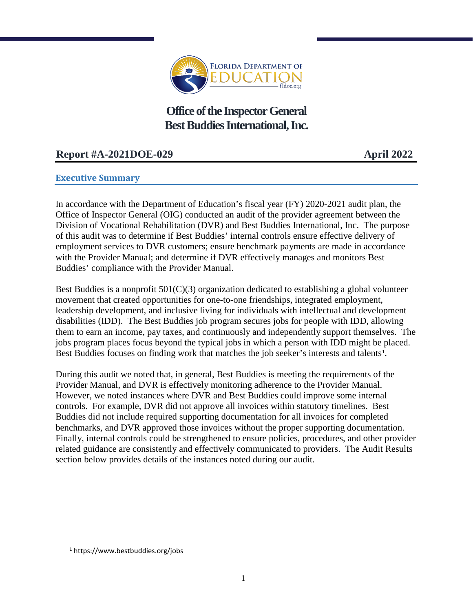

**Office of the Inspector General Best Buddies International, Inc.** 

# **Report #A-2021DOE-029 April 2022**

## **Executive Summary**

In accordance with the Department of Education's fiscal year (FY) 2020-2021 audit plan, the Office of Inspector General (OIG) conducted an audit of the provider agreement between the Division of Vocational Rehabilitation (DVR) and Best Buddies International, Inc. The purpose of this audit was to determine if Best Buddies' internal controls ensure effective delivery of employment services to DVR customers; ensure benchmark payments are made in accordance with the Provider Manual; and determine if DVR effectively manages and monitors Best Buddies' compliance with the Provider Manual.

Best Buddies is a nonprofit  $501(C)(3)$  organization dedicated to establishing a global volunteer movement that created opportunities for one-to-one friendships, integrated employment, leadership development, and inclusive living for individuals with intellectual and development disabilities (IDD). The Best Buddies job program secures jobs for people with IDD, allowing them to earn an income, pay taxes, and continuously and independently support themselves. The jobs program places focus beyond the typical jobs in which a person with IDD might be placed. Best Buddies focuses on finding work that matches the job seeker's interests and talents<sup>[1](#page-0-0)</sup>.

During this audit we noted that, in general, Best Buddies is meeting the requirements of the Provider Manual, and DVR is effectively monitoring adherence to the Provider Manual. However, we noted instances where DVR and Best Buddies could improve some internal controls. For example, DVR did not approve all invoices within statutory timelines. Best Buddies did not include required supporting documentation for all invoices for completed benchmarks, and DVR approved those invoices without the proper supporting documentation. Finally, internal controls could be strengthened to ensure policies, procedures, and other provider related guidance are consistently and effectively communicated to providers. The Audit Results section below provides details of the instances noted during our audit.

l

<span id="page-0-0"></span><sup>1</sup> https://www.bestbuddies.org/jobs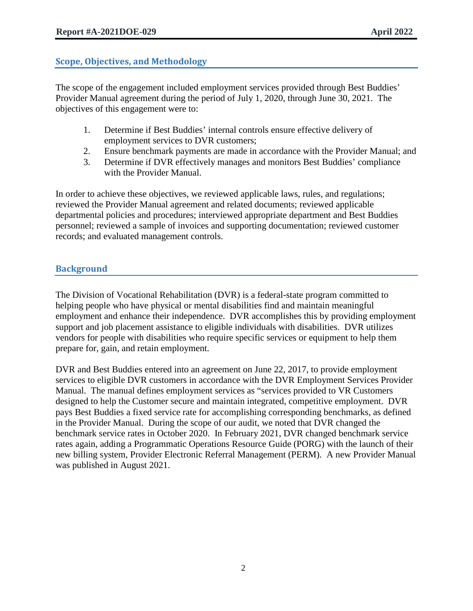## **Scope, Objectives, and Methodology**

The scope of the engagement included employment services provided through Best Buddies' Provider Manual agreement during the period of July 1, 2020, through June 30, 2021. The objectives of this engagement were to:

- 1. Determine if Best Buddies' internal controls ensure effective delivery of employment services to DVR customers;
- 2. Ensure benchmark payments are made in accordance with the Provider Manual; and
- 3. Determine if DVR effectively manages and monitors Best Buddies' compliance with the Provider Manual.

In order to achieve these objectives, we reviewed applicable laws, rules, and regulations; reviewed the Provider Manual agreement and related documents; reviewed applicable departmental policies and procedures; interviewed appropriate department and Best Buddies personnel; reviewed a sample of invoices and supporting documentation; reviewed customer records; and evaluated management controls.

## **Background**

The Division of Vocational Rehabilitation (DVR) is a federal-state program committed to helping people who have physical or mental disabilities find and maintain meaningful employment and enhance their independence. DVR accomplishes this by providing employment support and job placement assistance to eligible individuals with disabilities. DVR utilizes vendors for people with disabilities who require specific services or equipment to help them prepare for, gain, and retain employment.

DVR and Best Buddies entered into an agreement on June 22, 2017, to provide employment services to eligible DVR customers in accordance with the DVR Employment Services Provider Manual. The manual defines employment services as "services provided to VR Customers designed to help the Customer secure and maintain integrated, competitive employment. DVR pays Best Buddies a fixed service rate for accomplishing corresponding benchmarks, as defined in the Provider Manual. During the scope of our audit, we noted that DVR changed the benchmark service rates in October 2020. In February 2021, DVR changed benchmark service rates again, adding a Programmatic Operations Resource Guide (PORG) with the launch of their new billing system, Provider Electronic Referral Management (PERM). A new Provider Manual was published in August 2021.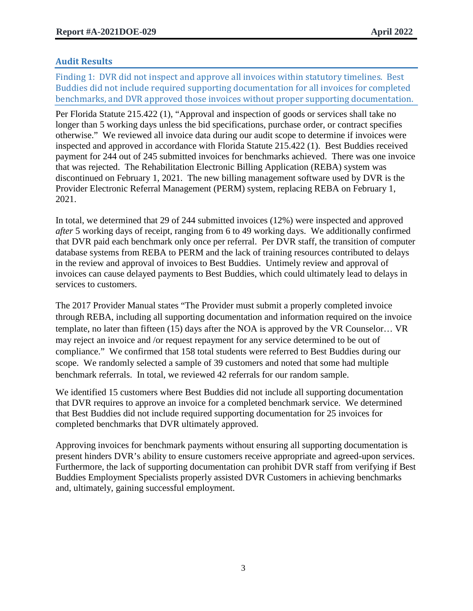## **Audit Results**

Finding 1: DVR did not inspect and approve all invoices within statutory timelines. Best Buddies did not include required supporting documentation for all invoices for completed benchmarks, and DVR approved those invoices without proper supporting documentation.

Per Florida Statute 215.422 (1), "Approval and inspection of goods or services shall take no longer than 5 working days unless the bid specifications, purchase order, or contract specifies otherwise." We reviewed all invoice data during our audit scope to determine if invoices were inspected and approved in accordance with Florida Statute 215.422 (1). Best Buddies received payment for 244 out of 245 submitted invoices for benchmarks achieved. There was one invoice that was rejected. The Rehabilitation Electronic Billing Application (REBA) system was discontinued on February 1, 2021. The new billing management software used by DVR is the Provider Electronic Referral Management (PERM) system, replacing REBA on February 1, 2021.

In total, we determined that 29 of 244 submitted invoices (12%) were inspected and approved *after* 5 working days of receipt, ranging from 6 to 49 working days. We additionally confirmed that DVR paid each benchmark only once per referral. Per DVR staff, the transition of computer database systems from REBA to PERM and the lack of training resources contributed to delays in the review and approval of invoices to Best Buddies. Untimely review and approval of invoices can cause delayed payments to Best Buddies, which could ultimately lead to delays in services to customers.

The 2017 Provider Manual states "The Provider must submit a properly completed invoice through REBA, including all supporting documentation and information required on the invoice template, no later than fifteen (15) days after the NOA is approved by the VR Counselor… VR may reject an invoice and /or request repayment for any service determined to be out of compliance." We confirmed that 158 total students were referred to Best Buddies during our scope. We randomly selected a sample of 39 customers and noted that some had multiple benchmark referrals. In total, we reviewed 42 referrals for our random sample.

We identified 15 customers where Best Buddies did not include all supporting documentation that DVR requires to approve an invoice for a completed benchmark service. We determined that Best Buddies did not include required supporting documentation for 25 invoices for completed benchmarks that DVR ultimately approved.

Approving invoices for benchmark payments without ensuring all supporting documentation is present hinders DVR's ability to ensure customers receive appropriate and agreed-upon services. Furthermore, the lack of supporting documentation can prohibit DVR staff from verifying if Best Buddies Employment Specialists properly assisted DVR Customers in achieving benchmarks and, ultimately, gaining successful employment.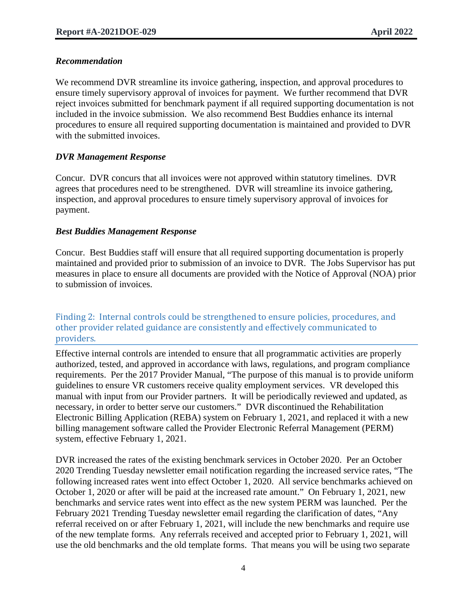## *Recommendation*

We recommend DVR streamline its invoice gathering, inspection, and approval procedures to ensure timely supervisory approval of invoices for payment. We further recommend that DVR reject invoices submitted for benchmark payment if all required supporting documentation is not included in the invoice submission. We also recommend Best Buddies enhance its internal procedures to ensure all required supporting documentation is maintained and provided to DVR with the submitted invoices.

## *DVR Management Response*

Concur. DVR concurs that all invoices were not approved within statutory timelines. DVR agrees that procedures need to be strengthened. DVR will streamline its invoice gathering, inspection, and approval procedures to ensure timely supervisory approval of invoices for payment.

## *Best Buddies Management Response*

Concur. Best Buddies staff will ensure that all required supporting documentation is properly maintained and provided prior to submission of an invoice to DVR. The Jobs Supervisor has put measures in place to ensure all documents are provided with the Notice of Approval (NOA) prior to submission of invoices.

#### Finding 2: Internal controls could be strengthened to ensure policies, procedures, and other provider related guidance are consistently and effectively communicated to providers.

Effective internal controls are intended to ensure that all programmatic activities are properly authorized, tested, and approved in accordance with laws, regulations, and program compliance requirements. Per the 2017 Provider Manual, "The purpose of this manual is to provide uniform guidelines to ensure VR customers receive quality employment services. VR developed this manual with input from our Provider partners. It will be periodically reviewed and updated, as necessary, in order to better serve our customers." DVR discontinued the Rehabilitation Electronic Billing Application (REBA) system on February 1, 2021, and replaced it with a new billing management software called the Provider Electronic Referral Management (PERM) system, effective February 1, 2021.

DVR increased the rates of the existing benchmark services in October 2020. Per an October 2020 Trending Tuesday newsletter email notification regarding the increased service rates, "The following increased rates went into effect October 1, 2020. All service benchmarks achieved on October 1, 2020 or after will be paid at the increased rate amount." On February 1, 2021, new benchmarks and service rates went into effect as the new system PERM was launched. Per the February 2021 Trending Tuesday newsletter email regarding the clarification of dates, "Any referral received on or after February 1, 2021, will include the new benchmarks and require use of the new template forms. Any referrals received and accepted prior to February 1, 2021, will use the old benchmarks and the old template forms. That means you will be using two separate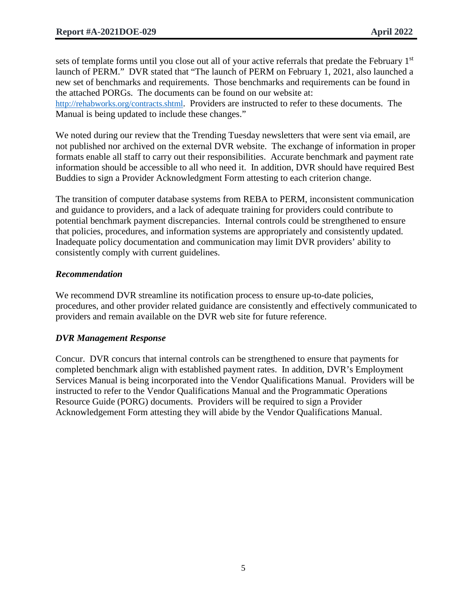sets of template forms until you close out all of your active referrals that predate the February 1st launch of PERM." DVR stated that "The launch of PERM on February 1, 2021, also launched a new set of benchmarks and requirements. Those benchmarks and requirements can be found in the attached PORGs. The documents can be found on our website at:

[http://rehabworks.org/contracts.shtml.](http://rehabworks.org/contracts.shtml) Providers are instructed to refer to these documents. The Manual is being updated to include these changes."

We noted during our review that the Trending Tuesday newsletters that were sent via email, are not published nor archived on the external DVR website. The exchange of information in proper formats enable all staff to carry out their responsibilities. Accurate benchmark and payment rate information should be accessible to all who need it. In addition, DVR should have required Best Buddies to sign a Provider Acknowledgment Form attesting to each criterion change.

The transition of computer database systems from REBA to PERM, inconsistent communication and guidance to providers, and a lack of adequate training for providers could contribute to potential benchmark payment discrepancies. Internal controls could be strengthened to ensure that policies, procedures, and information systems are appropriately and consistently updated. Inadequate policy documentation and communication may limit DVR providers' ability to consistently comply with current guidelines.

## *Recommendation*

We recommend DVR streamline its notification process to ensure up-to-date policies, procedures, and other provider related guidance are consistently and effectively communicated to providers and remain available on the DVR web site for future reference.

#### *DVR Management Response*

Concur. DVR concurs that internal controls can be strengthened to ensure that payments for completed benchmark align with established payment rates. In addition, DVR's Employment Services Manual is being incorporated into the Vendor Qualifications Manual. Providers will be instructed to refer to the Vendor Qualifications Manual and the Programmatic Operations Resource Guide (PORG) documents. Providers will be required to sign a Provider Acknowledgement Form attesting they will abide by the Vendor Qualifications Manual.